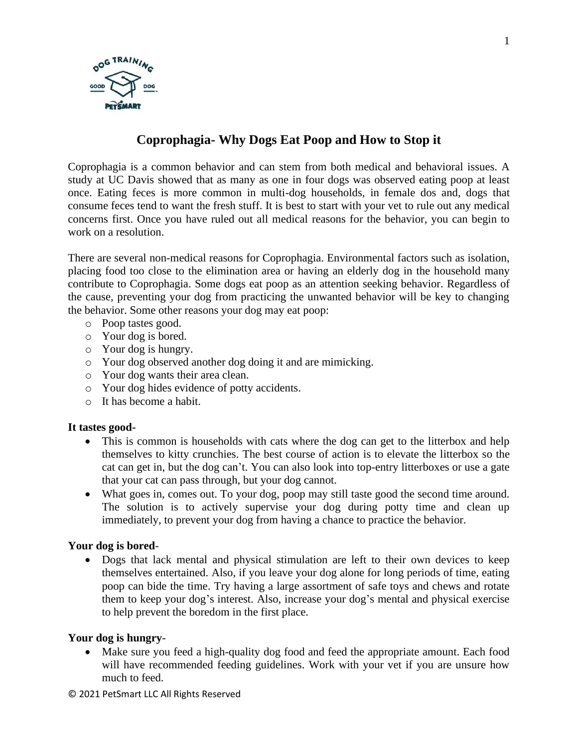

# **Coprophagia- Why Dogs Eat Poop and How to Stop it**

Coprophagia is a common behavior and can stem from both medical and behavioral issues. A study at UC Davis showed that as many as one in four dogs was observed eating poop at least once. Eating feces is more common in multi-dog households, in female dos and, dogs that consume feces tend to want the fresh stuff. It is best to start with your vet to rule out any medical concerns first. Once you have ruled out all medical reasons for the behavior, you can begin to work on a resolution.

There are several non-medical reasons for Coprophagia. Environmental factors such as isolation, placing food too close to the elimination area or having an elderly dog in the household many contribute to Coprophagia. Some dogs eat poop as an attention seeking behavior. Regardless of the cause, preventing your dog from practicing the unwanted behavior will be key to changing the behavior. Some other reasons your dog may eat poop:

- o Poop tastes good.
- o Your dog is bored.
- o Your dog is hungry.
- o Your dog observed another dog doing it and are mimicking.
- o Your dog wants their area clean.
- o Your dog hides evidence of potty accidents.
- o It has become a habit.

## **It tastes good-**

- This is common is households with cats where the dog can get to the litterbox and help themselves to kitty crunchies. The best course of action is to elevate the litterbox so the cat can get in, but the dog can't. You can also look into top-entry litterboxes or use a gate that your cat can pass through, but your dog cannot.
- What goes in, comes out. To your dog, poop may still taste good the second time around. The solution is to actively supervise your dog during potty time and clean up immediately, to prevent your dog from having a chance to practice the behavior.

## **Your dog is bored**-

• Dogs that lack mental and physical stimulation are left to their own devices to keep themselves entertained. Also, if you leave your dog alone for long periods of time, eating poop can bide the time. Try having a large assortment of safe toys and chews and rotate them to keep your dog's interest. Also, increase your dog's mental and physical exercise to help prevent the boredom in the first place.

## **Your dog is hungry**-

• Make sure you feed a high-quality dog food and feed the appropriate amount. Each food will have recommended feeding guidelines. Work with your vet if you are unsure how much to feed.